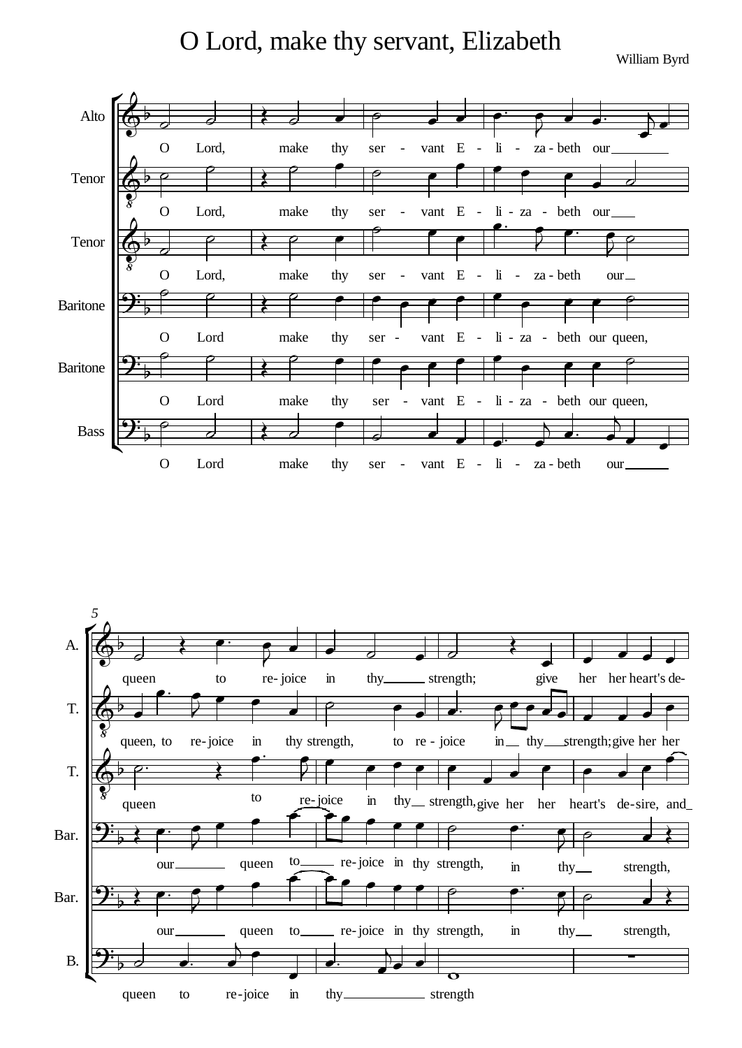O Lord, make thy servant, Elizabeth

William Byrd



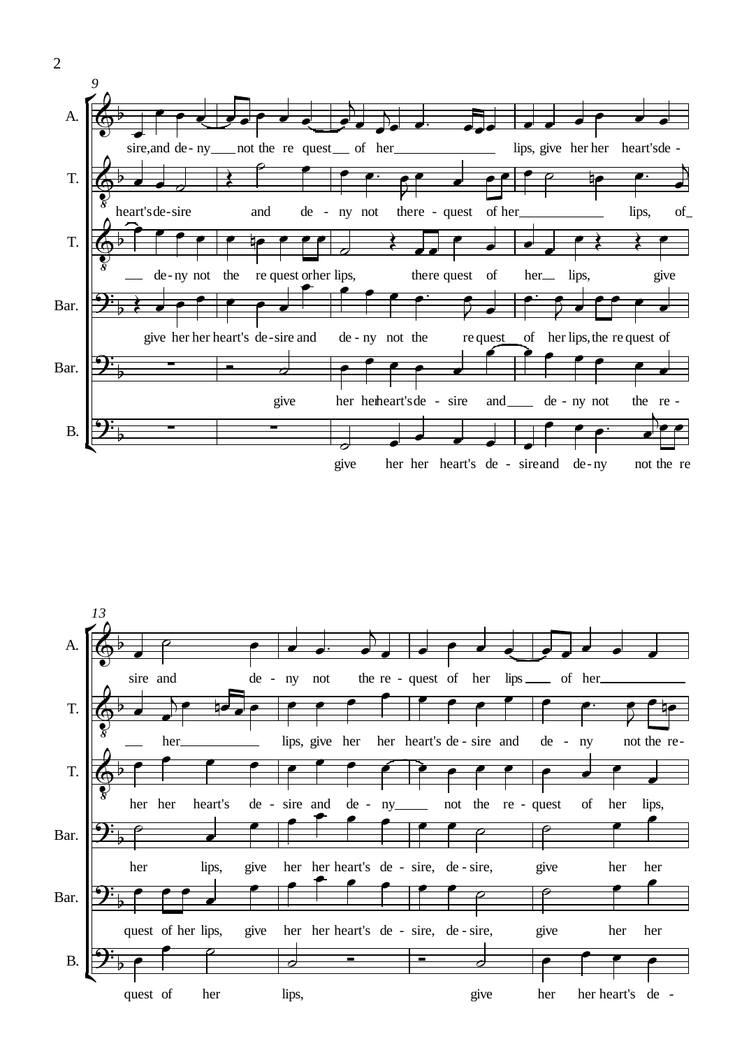



 $\overline{2}$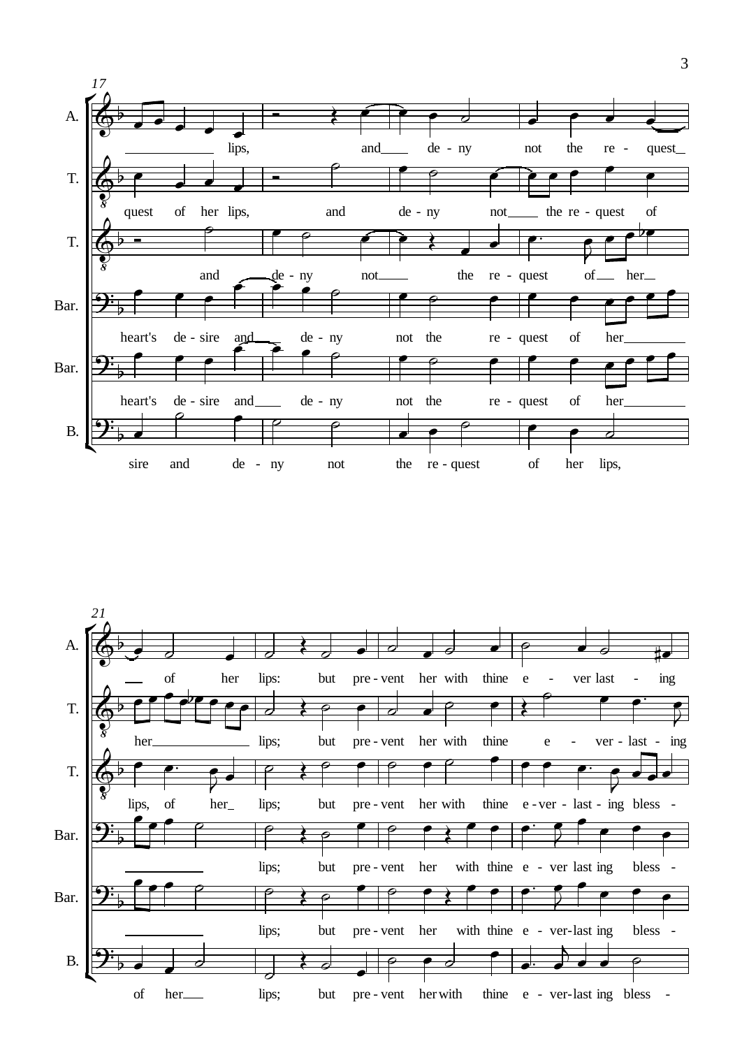

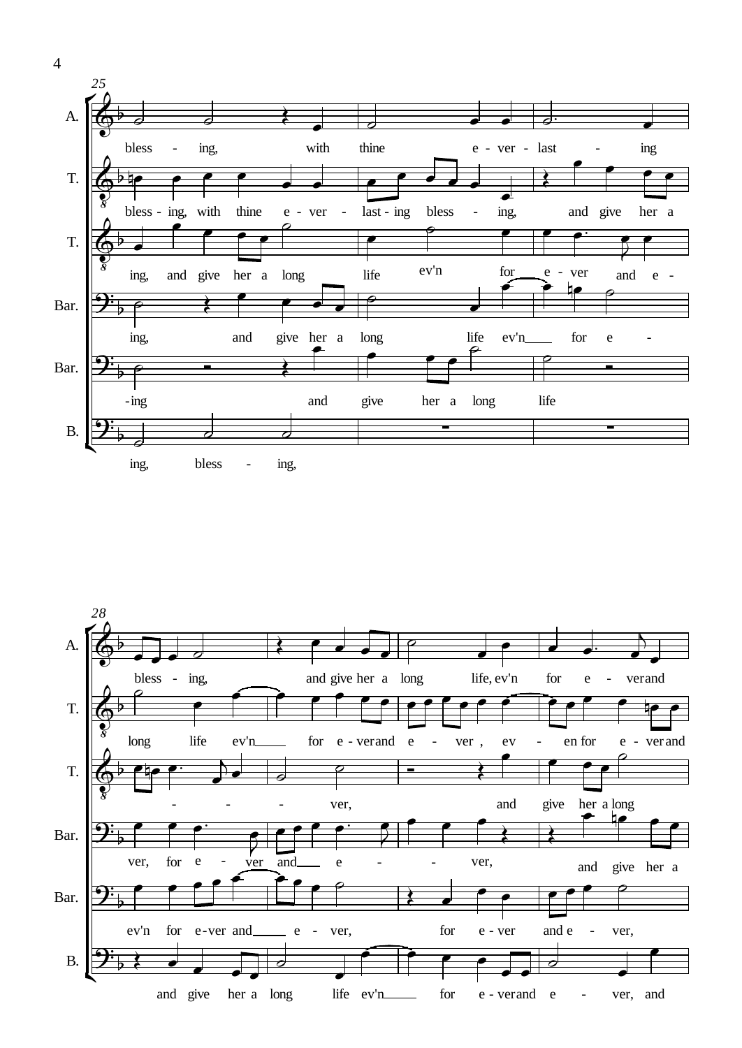

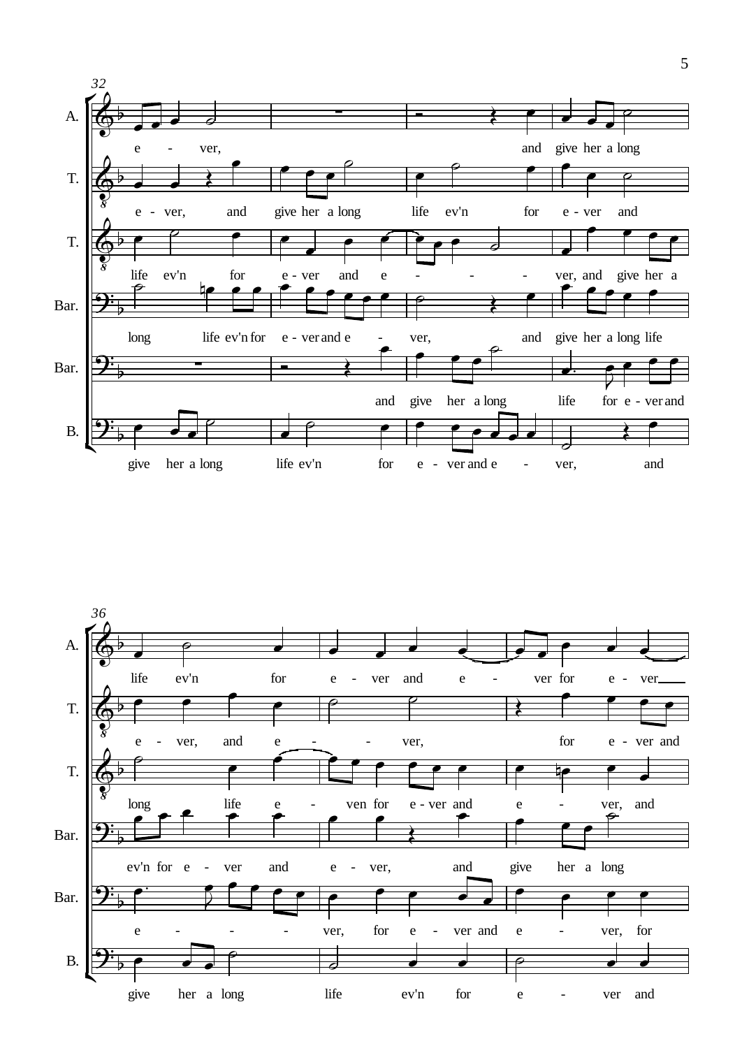